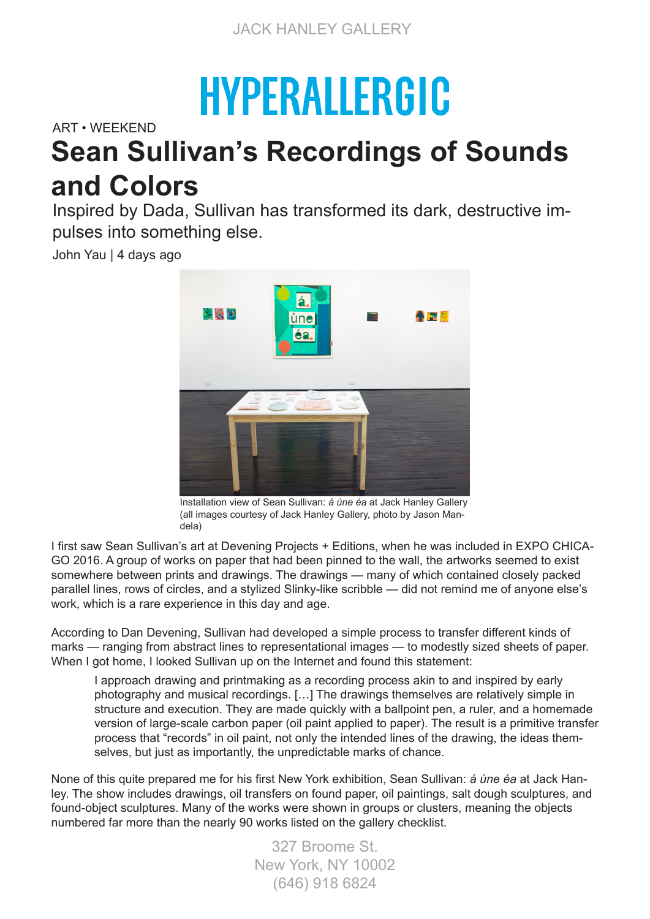## **HYPERALLERGIC**

ART • WEEKEND

## **Sean Sullivan's Recordings of Sounds and Colors**

Inspired by Dada, Sullivan has transformed its dark, destructive impulses into something else.

John Yau | 4 days ago



Installation view of Sean Sullivan: *á ùne éa* at Jack Hanley Gallery (all images courtesy of Jack Hanley Gallery, photo by Jason Mandela)

I first saw Sean Sullivan's art at Devening Projects + Editions, when he was included in EXPO CHICA-GO 2016. A group of works on paper that had been pinned to the wall, the artworks seemed to exist somewhere between prints and drawings. The drawings — many of which contained closely packed parallel lines, rows of circles, and a stylized Slinky-like scribble — did not remind me of anyone else's work, which is a rare experience in this day and age.

According to Dan Devening, Sullivan had developed a simple process to transfer different kinds of marks — ranging from abstract lines to representational images — to modestly sized sheets of paper. When I got home, I looked Sullivan up on the Internet and found this statement:

I approach drawing and printmaking as a recording process akin to and inspired by early photography and musical recordings. […] The drawings themselves are relatively simple in structure and execution. They are made quickly with a ballpoint pen, a ruler, and a homemade version of large-scale carbon paper (oil paint applied to paper). The result is a primitive transfer process that "records" in oil paint, not only the intended lines of the drawing, the ideas themselves, but just as importantly, the unpredictable marks of chance.

None of this quite prepared me for his first New York exhibition, Sean Sullivan: *á ùne éa* at Jack Hanley. The show includes drawings, oil transfers on found paper, oil paintings, salt dough sculptures, and found-object sculptures. Many of the works were shown in groups or clusters, meaning the objects numbered far more than the nearly 90 works listed on the gallery checklist.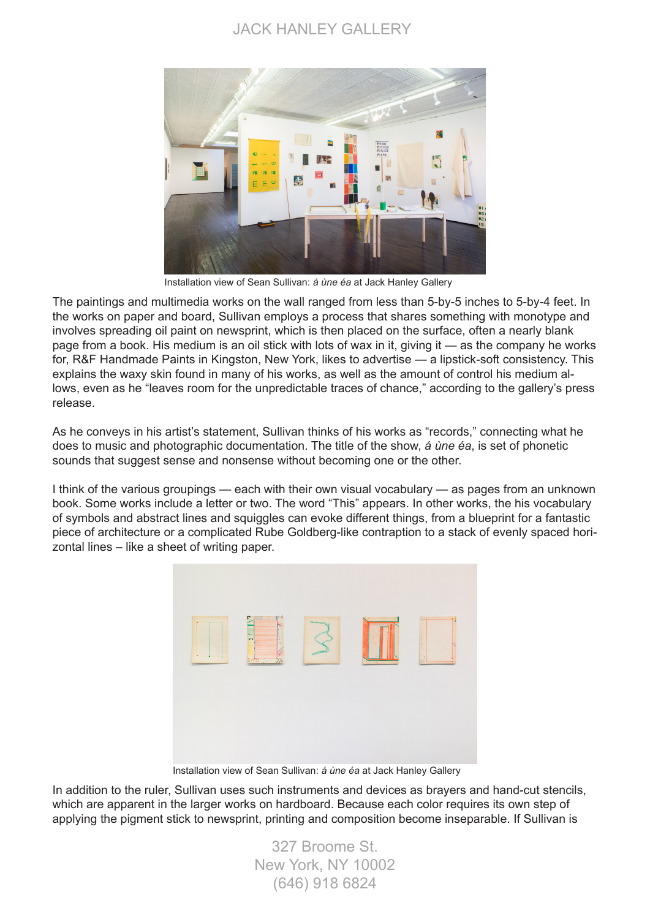## JACK HANLEY GALLERY



Installation view of Sean Sullivan: *á ùne éa* at Jack Hanley Gallery

The paintings and multimedia works on the wall ranged from less than 5-by-5 inches to 5-by-4 feet. In the works on paper and board, Sullivan employs a process that shares something with monotype and involves spreading oil paint on newsprint, which is then placed on the surface, often a nearly blank page from a book. His medium is an oil stick with lots of wax in it, giving it — as the company he works for, R&F Handmade Paints in Kingston, New York, likes to advertise — a lipstick-soft consistency. This explains the waxy skin found in many of his works, as well as the amount of control his medium allows, even as he "leaves room for the unpredictable traces of chance," according to the gallery's press release.

As he conveys in his artist's statement, Sullivan thinks of his works as "records," connecting what he does to music and photographic documentation. The title of the show, *á ùne éa*, is set of phonetic sounds that suggest sense and nonsense without becoming one or the other.

I think of the various groupings — each with their own visual vocabulary — as pages from an unknown book. Some works include a letter or two. The word "This" appears. In other works, the his vocabulary of symbols and abstract lines and squiggles can evoke different things, from a blueprint for a fantastic piece of architecture or a complicated Rube Goldberg-like contraption to a stack of evenly spaced horizontal lines – like a sheet of writing paper.



Installation view of Sean Sullivan: *á ùne éa* at Jack Hanley Gallery

In addition to the ruler, Sullivan uses such instruments and devices as brayers and hand-cut stencils, which are apparent in the larger works on hardboard. Because each color requires its own step of applying the pigment stick to newsprint, printing and composition become inseparable. If Sullivan is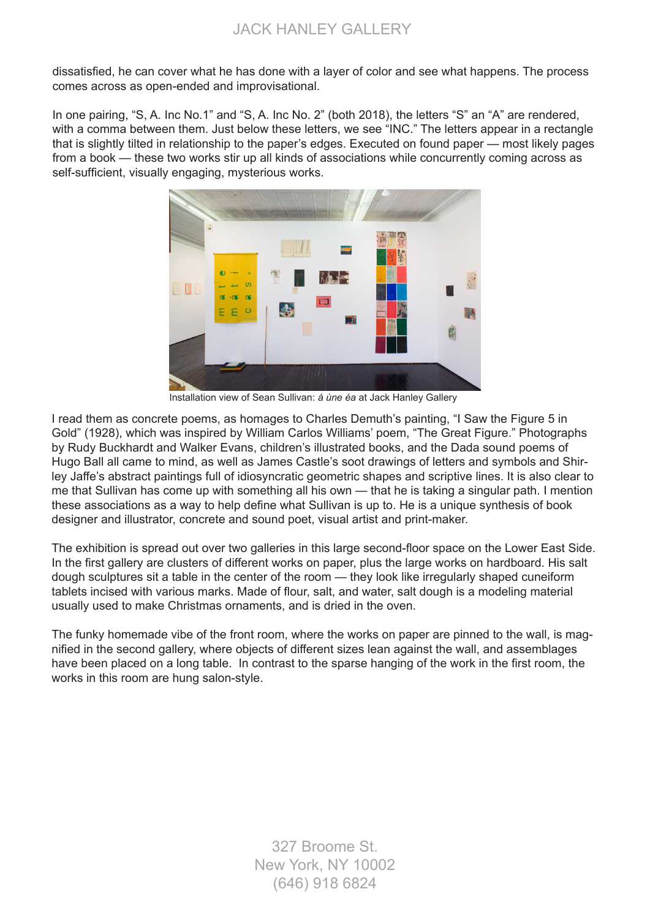dissatisfied, he can cover what he has done with a layer of color and see what happens. The process comes across as open-ended and improvisational.

In one pairing, "S, A, Inc No.1" and "S, A, Inc No. 2" (both 2018), the letters "S" an "A" are rendered, with a comma between them. Just below these letters, we see "INC." The letters appear in a rectangle that is slightly tilted in relationship to the paper's edges. Executed on found paper — most likely pages from a book — these two works stir up all kinds of associations while concurrently coming across as self-sufficient, visually engaging, mysterious works.



Installation view of Sean Sullivan: *á ùne éa* at Jack Hanley Gallery

I read them as concrete poems, as homages to Charles Demuth's painting, "I Saw the Figure 5 in Gold" (1928), which was inspired by William Carlos Williams' poem, "The Great Figure." Photographs by Rudy Buckhardt and Walker Evans, children's illustrated books, and the Dada sound poems of Hugo Ball all came to mind, as well as James Castle's soot drawings of letters and symbols and Shirley Jaffe's abstract paintings full of idiosyncratic geometric shapes and scriptive lines. It is also clear to me that Sullivan has come up with something all his own — that he is taking a singular path. I mention these associations as a way to help define what Sullivan is up to. He is a unique synthesis of book designer and illustrator, concrete and sound poet, visual artist and print-maker.

The exhibition is spread out over two galleries in this large second-floor space on the Lower East Side. In the first gallery are clusters of different works on paper, plus the large works on hardboard. His salt dough sculptures sit a table in the center of the room — they look like irregularly shaped cuneiform tablets incised with various marks. Made of flour, salt, and water, salt dough is a modeling material usually used to make Christmas ornaments, and is dried in the oven.

The funky homemade vibe of the front room, where the works on paper are pinned to the wall, is magnified in the second gallery, where objects of different sizes lean against the wall, and assemblages have been placed on a long table. In contrast to the sparse hanging of the work in the first room, the works in this room are hung salon-style.